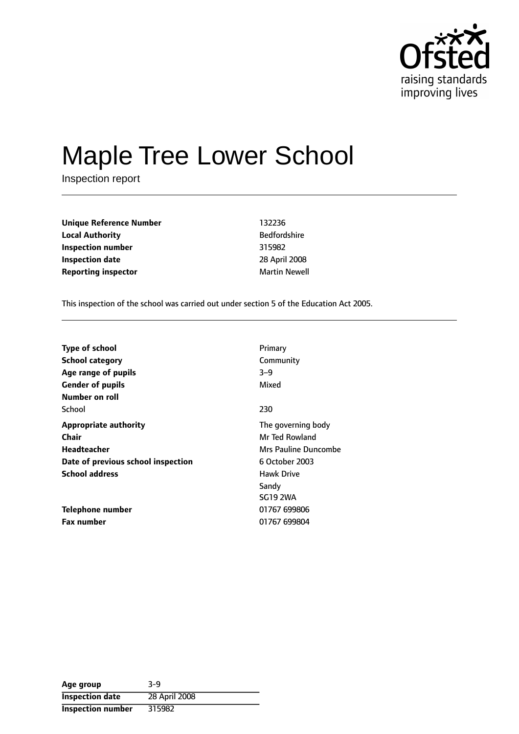

# Maple Tree Lower School

Inspection report

| <b>Unique Reference Number</b> | 132236               |
|--------------------------------|----------------------|
| <b>Local Authority</b>         | <b>Bedfordshire</b>  |
| Inspection number              | 315982               |
| <b>Inspection date</b>         | 28 April 2008        |
| <b>Reporting inspector</b>     | <b>Martin Newell</b> |

This inspection of the school was carried out under section 5 of the Education Act 2005.

| Type of school                     | Primary              |
|------------------------------------|----------------------|
| <b>School category</b>             | Community            |
| Age range of pupils                | $3 - 9$              |
| <b>Gender of pupils</b>            | Mixed                |
| Number on roll                     |                      |
| School                             | 230                  |
| <b>Appropriate authority</b>       | The governing body   |
| Chair                              | Mr Ted Rowland       |
| Headteacher                        | Mrs Pauline Duncombe |
| Date of previous school inspection | 6 October 2003       |
| <b>School address</b>              | Hawk Drive           |
|                                    | Sandy                |
|                                    | <b>SG19 2WA</b>      |
| <b>Telephone number</b>            | 01767 699806         |
| <b>Fax number</b>                  | 01767 699804         |

| Age group                | $3-9$         |
|--------------------------|---------------|
| <b>Inspection date</b>   | 28 April 2008 |
| <b>Inspection number</b> | 315982        |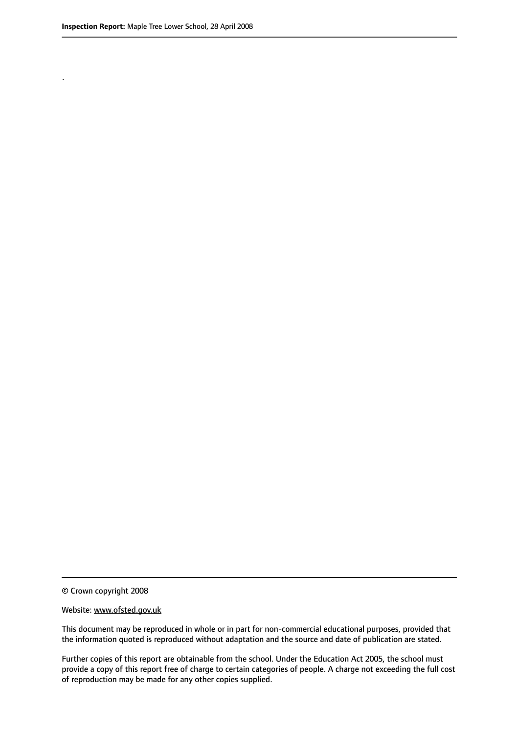.

© Crown copyright 2008

#### Website: www.ofsted.gov.uk

This document may be reproduced in whole or in part for non-commercial educational purposes, provided that the information quoted is reproduced without adaptation and the source and date of publication are stated.

Further copies of this report are obtainable from the school. Under the Education Act 2005, the school must provide a copy of this report free of charge to certain categories of people. A charge not exceeding the full cost of reproduction may be made for any other copies supplied.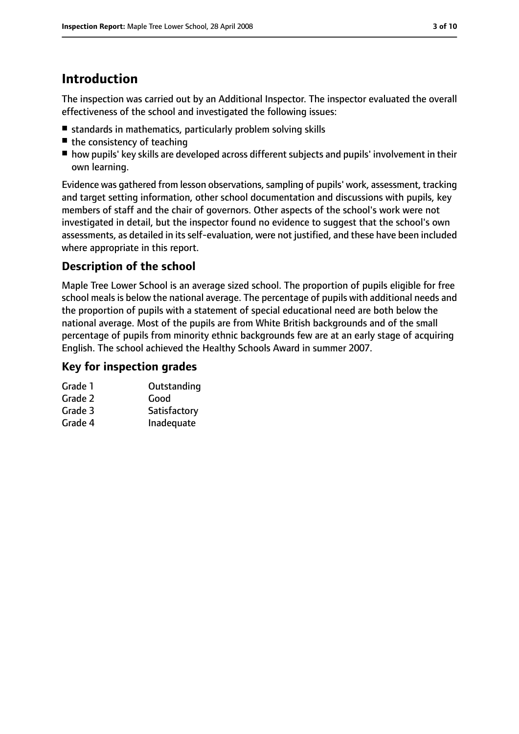# **Introduction**

The inspection was carried out by an Additional Inspector. The inspector evaluated the overall effectiveness of the school and investigated the following issues:

- standards in mathematics, particularly problem solving skills
- $\blacksquare$  the consistency of teaching
- how pupils' key skills are developed across different subjects and pupils' involvement in their own learning.

Evidence was gathered from lesson observations, sampling of pupils' work, assessment, tracking and target setting information, other school documentation and discussions with pupils, key members of staff and the chair of governors. Other aspects of the school's work were not investigated in detail, but the inspector found no evidence to suggest that the school's own assessments, as detailed in its self-evaluation, were not justified, and these have been included where appropriate in this report.

## **Description of the school**

Maple Tree Lower School is an average sized school. The proportion of pupils eligible for free school meals is below the national average. The percentage of pupils with additional needs and the proportion of pupils with a statement of special educational need are both below the national average. Most of the pupils are from White British backgrounds and of the small percentage of pupils from minority ethnic backgrounds few are at an early stage of acquiring English. The school achieved the Healthy Schools Award in summer 2007.

## **Key for inspection grades**

| Grade 1 | Outstanding |
|---------|-------------|
| Grade 2 | Good        |
|         |             |

Grade 3 Satisfactory Grade 4 Inadequate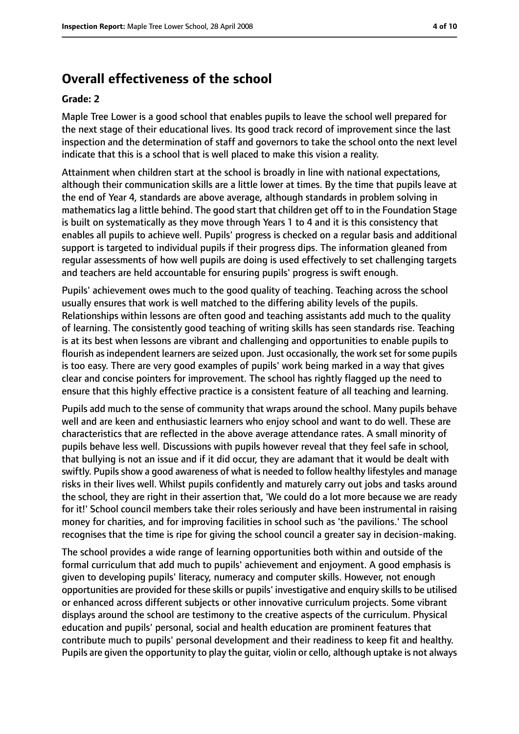# **Overall effectiveness of the school**

#### **Grade: 2**

Maple Tree Lower is a good school that enables pupils to leave the school well prepared for the next stage of their educational lives. Its good track record of improvement since the last inspection and the determination of staff and governors to take the school onto the next level indicate that this is a school that is well placed to make this vision a reality.

Attainment when children start at the school is broadly in line with national expectations, although their communication skills are a little lower at times. By the time that pupils leave at the end of Year 4, standards are above average, although standards in problem solving in mathematics lag a little behind. The good start that children get off to in the Foundation Stage is built on systematically as they move through Years 1 to 4 and it is this consistency that enables all pupils to achieve well. Pupils' progress is checked on a regular basis and additional support is targeted to individual pupils if their progress dips. The information gleaned from regular assessments of how well pupils are doing is used effectively to set challenging targets and teachers are held accountable for ensuring pupils' progress is swift enough.

Pupils' achievement owes much to the good quality of teaching. Teaching across the school usually ensures that work is well matched to the differing ability levels of the pupils. Relationships within lessons are often good and teaching assistants add much to the quality of learning. The consistently good teaching of writing skills has seen standards rise. Teaching is at its best when lessons are vibrant and challenging and opportunities to enable pupils to flourish as independent learners are seized upon. Just occasionally, the work set for some pupils is too easy. There are very good examples of pupils' work being marked in a way that gives clear and concise pointers for improvement. The school has rightly flagged up the need to ensure that this highly effective practice is a consistent feature of all teaching and learning.

Pupils add much to the sense of community that wraps around the school. Many pupils behave well and are keen and enthusiastic learners who enjoy school and want to do well. These are characteristics that are reflected in the above average attendance rates. A small minority of pupils behave less well. Discussions with pupils however reveal that they feel safe in school, that bullying is not an issue and if it did occur, they are adamant that it would be dealt with swiftly. Pupils show a good awareness of what is needed to follow healthy lifestyles and manage risks in their lives well. Whilst pupils confidently and maturely carry out jobs and tasks around the school, they are right in their assertion that, 'We could do a lot more because we are ready for it!' School council members take their roles seriously and have been instrumental in raising money for charities, and for improving facilities in school such as 'the pavilions.' The school recognises that the time is ripe for giving the school council a greater say in decision-making.

The school provides a wide range of learning opportunities both within and outside of the formal curriculum that add much to pupils' achievement and enjoyment. A good emphasis is given to developing pupils' literacy, numeracy and computer skills. However, not enough opportunities are provided for these skills or pupils' investigative and enquiry skillsto be utilised or enhanced across different subjects or other innovative curriculum projects. Some vibrant displays around the school are testimony to the creative aspects of the curriculum. Physical education and pupils' personal, social and health education are prominent features that contribute much to pupils' personal development and their readiness to keep fit and healthy. Pupils are given the opportunity to play the guitar, violin or cello, although uptake is not always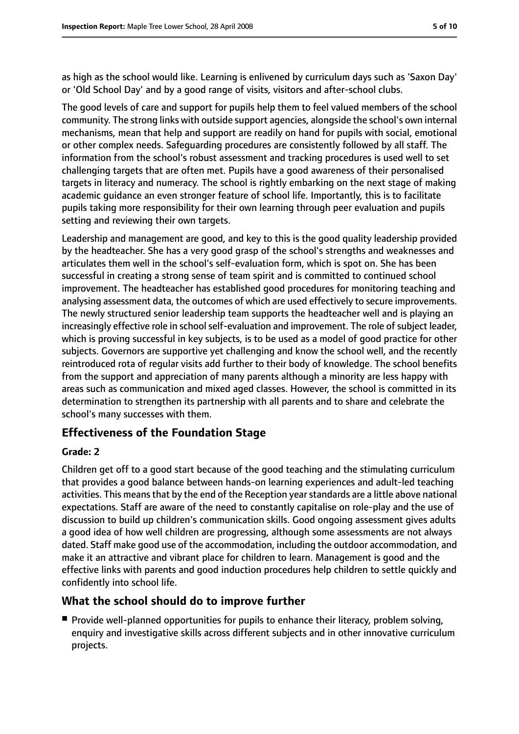as high as the school would like. Learning is enlivened by curriculum days such as 'Saxon Day' or 'Old School Day' and by a good range of visits, visitors and after-school clubs.

The good levels of care and support for pupils help them to feel valued members of the school community. The strong links with outside support agencies, alongside the school's own internal mechanisms, mean that help and support are readily on hand for pupils with social, emotional or other complex needs. Safeguarding procedures are consistently followed by all staff. The information from the school's robust assessment and tracking procedures is used well to set challenging targets that are often met. Pupils have a good awareness of their personalised targets in literacy and numeracy. The school is rightly embarking on the next stage of making academic guidance an even stronger feature of school life. Importantly, this is to facilitate pupils taking more responsibility for their own learning through peer evaluation and pupils setting and reviewing their own targets.

Leadership and management are good, and key to this is the good quality leadership provided by the headteacher. She has a very good grasp of the school's strengths and weaknesses and articulates them well in the school's self-evaluation form, which is spot on. She has been successful in creating a strong sense of team spirit and is committed to continued school improvement. The headteacher has established good procedures for monitoring teaching and analysing assessment data, the outcomes of which are used effectively to secure improvements. The newly structured senior leadership team supports the headteacher well and is playing an increasingly effective role in school self-evaluation and improvement. The role of subject leader, which is proving successful in key subjects, is to be used as a model of good practice for other subjects. Governors are supportive yet challenging and know the school well, and the recently reintroduced rota of regular visits add further to their body of knowledge. The school benefits from the support and appreciation of many parents although a minority are less happy with areas such as communication and mixed aged classes. However, the school is committed in its determination to strengthen its partnership with all parents and to share and celebrate the school's many successes with them.

## **Effectiveness of the Foundation Stage**

#### **Grade: 2**

Children get off to a good start because of the good teaching and the stimulating curriculum that provides a good balance between hands-on learning experiences and adult-led teaching activities. This means that by the end of the Reception year standards are a little above national expectations. Staff are aware of the need to constantly capitalise on role-play and the use of discussion to build up children's communication skills. Good ongoing assessment gives adults a good idea of how well children are progressing, although some assessments are not always dated. Staff make good use of the accommodation, including the outdoor accommodation, and make it an attractive and vibrant place for children to learn. Management is good and the effective links with parents and good induction procedures help children to settle quickly and confidently into school life.

### **What the school should do to improve further**

■ Provide well-planned opportunities for pupils to enhance their literacy, problem solving, enquiry and investigative skills across different subjects and in other innovative curriculum projects.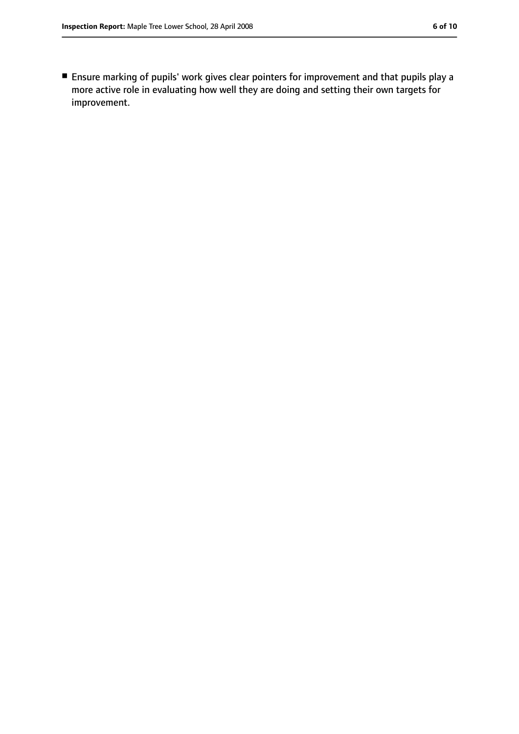■ Ensure marking of pupils' work gives clear pointers for improvement and that pupils play a more active role in evaluating how well they are doing and setting their own targets for improvement.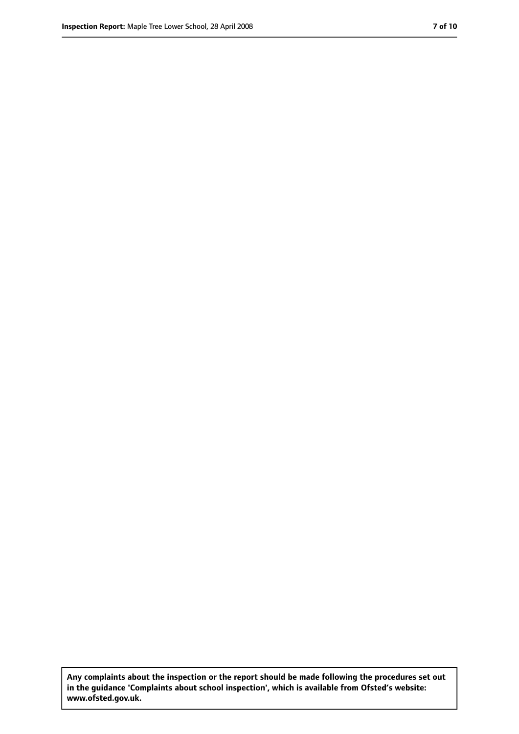**Any complaints about the inspection or the report should be made following the procedures set out in the guidance 'Complaints about school inspection', which is available from Ofsted's website: www.ofsted.gov.uk.**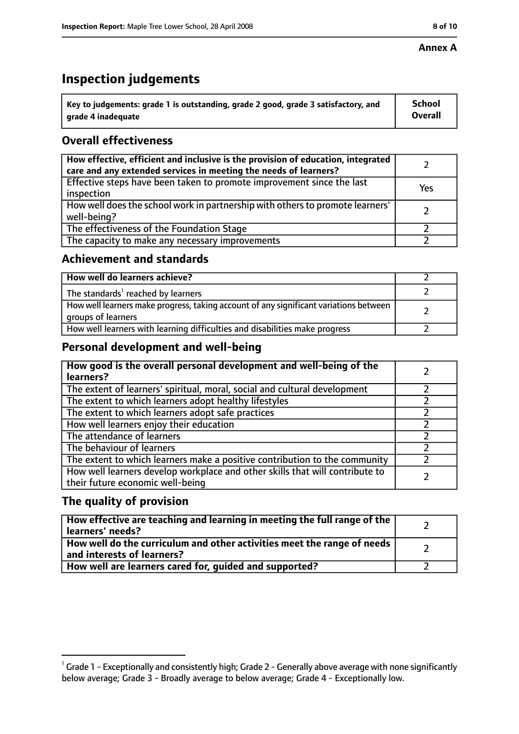#### **Annex A**

# **Inspection judgements**

| $^{\backprime}$ Key to judgements: grade 1 is outstanding, grade 2 good, grade 3 satisfactory, and | <b>School</b>  |
|----------------------------------------------------------------------------------------------------|----------------|
| arade 4 inadeguate                                                                                 | <b>Overall</b> |

## **Overall effectiveness**

| How effective, efficient and inclusive is the provision of education, integrated<br>care and any extended services in meeting the needs of learners? |     |
|------------------------------------------------------------------------------------------------------------------------------------------------------|-----|
| Effective steps have been taken to promote improvement since the last<br>inspection                                                                  | Yes |
| How well does the school work in partnership with others to promote learners'<br>well-being?                                                         |     |
| The effectiveness of the Foundation Stage                                                                                                            |     |
| The capacity to make any necessary improvements                                                                                                      |     |

## **Achievement and standards**

| How well do learners achieve?                                                                               |  |
|-------------------------------------------------------------------------------------------------------------|--|
| The standards <sup>1</sup> reached by learners                                                              |  |
| How well learners make progress, taking account of any significant variations between<br>groups of learners |  |
| How well learners with learning difficulties and disabilities make progress                                 |  |

## **Personal development and well-being**

| How good is the overall personal development and well-being of the<br>learners?                                  |  |
|------------------------------------------------------------------------------------------------------------------|--|
| The extent of learners' spiritual, moral, social and cultural development                                        |  |
| The extent to which learners adopt healthy lifestyles                                                            |  |
| The extent to which learners adopt safe practices                                                                |  |
| How well learners enjoy their education                                                                          |  |
| The attendance of learners                                                                                       |  |
| The behaviour of learners                                                                                        |  |
| The extent to which learners make a positive contribution to the community                                       |  |
| How well learners develop workplace and other skills that will contribute to<br>their future economic well-being |  |

## **The quality of provision**

| How effective are teaching and learning in meeting the full range of the<br>learners' needs?          |  |
|-------------------------------------------------------------------------------------------------------|--|
| How well do the curriculum and other activities meet the range of needs<br>and interests of learners? |  |
| How well are learners cared for, guided and supported?                                                |  |

 $^1$  Grade 1 - Exceptionally and consistently high; Grade 2 - Generally above average with none significantly below average; Grade 3 - Broadly average to below average; Grade 4 - Exceptionally low.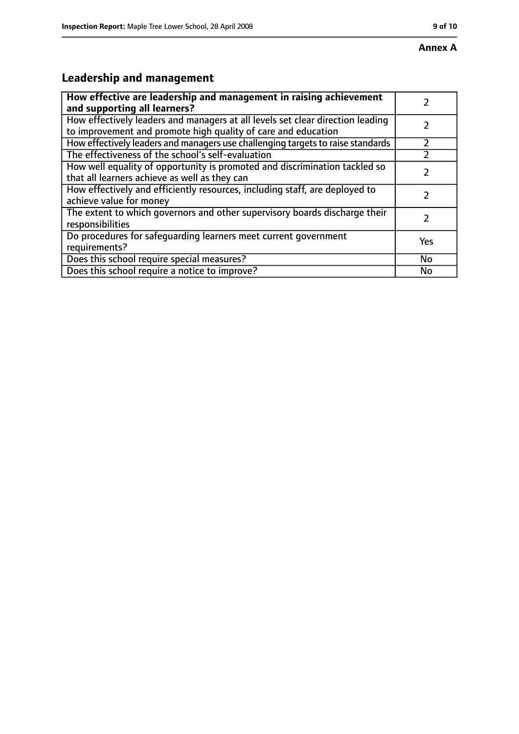# **Leadership and management**

| How effective are leadership and management in raising achievement<br>and supporting all learners?                                              |     |
|-------------------------------------------------------------------------------------------------------------------------------------------------|-----|
| How effectively leaders and managers at all levels set clear direction leading<br>to improvement and promote high quality of care and education |     |
| How effectively leaders and managers use challenging targets to raise standards                                                                 |     |
| The effectiveness of the school's self-evaluation                                                                                               |     |
| How well equality of opportunity is promoted and discrimination tackled so<br>that all learners achieve as well as they can                     |     |
| How effectively and efficiently resources, including staff, are deployed to<br>achieve value for money                                          |     |
| The extent to which governors and other supervisory boards discharge their<br>responsibilities                                                  |     |
| Do procedures for safequarding learners meet current government<br>requirements?                                                                | Yes |
| Does this school require special measures?                                                                                                      | No  |
| Does this school require a notice to improve?                                                                                                   | No  |